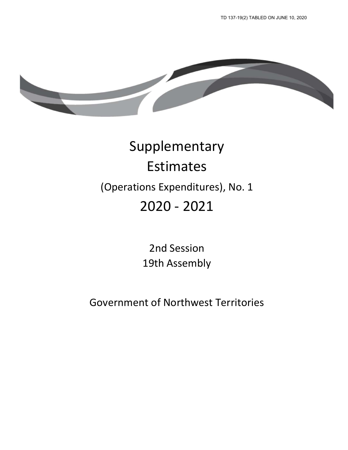TD 137-19(2) TABLED ON JUNE 10, 2020



# Supplementary Estimates (Operations Expenditures), No. 1 2020 ‐ 2021

2nd Session 19th Assembly

Government of Northwest Territories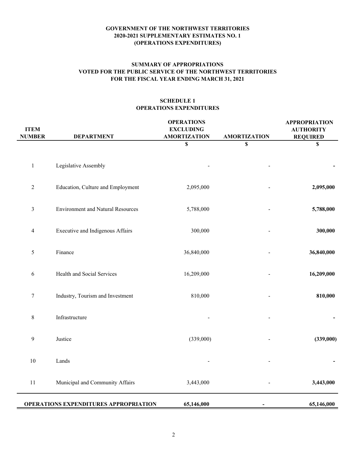#### **FOR THE FISCAL YEAR ENDING MARCH 31, 2021 SUMMARY OF APPROPRIATIONS VOTED FOR THE PUBLIC SERVICE OF THE NORTHWEST TERRITORIES**

#### **SCHEDULE 1 OPERATIONS EXPENDITURES**

| <b>ITEM</b><br><b>NUMBER</b> | <b>DEPARTMENT</b>                            | <b>OPERATIONS</b><br><b>EXCLUDING</b><br><b>AMORTIZATION</b> | <b>AMORTIZATION</b> | <b>APPROPRIATION</b><br><b>AUTHORITY</b><br><b>REQUIRED</b> |
|------------------------------|----------------------------------------------|--------------------------------------------------------------|---------------------|-------------------------------------------------------------|
|                              |                                              | $\mathbf S$                                                  | $\mathbf S$         | \$                                                          |
| $\mathbf{1}$                 | Legislative Assembly                         |                                                              |                     |                                                             |
| $\sqrt{2}$                   | Education, Culture and Employment            | 2,095,000                                                    |                     | 2,095,000                                                   |
| $\mathfrak{Z}$               | <b>Environment and Natural Resources</b>     | 5,788,000                                                    |                     | 5,788,000                                                   |
| $\overline{4}$               | Executive and Indigenous Affairs             | 300,000                                                      |                     | 300,000                                                     |
| $\sqrt{5}$                   | Finance                                      | 36,840,000                                                   |                     | 36,840,000                                                  |
| 6                            | Health and Social Services                   | 16,209,000                                                   |                     | 16,209,000                                                  |
| $\boldsymbol{7}$             | Industry, Tourism and Investment             | 810,000                                                      |                     | 810,000                                                     |
| 8                            | Infrastructure                               |                                                              |                     |                                                             |
| $\overline{9}$               | Justice                                      | (339,000)                                                    |                     | (339,000)                                                   |
| $10\,$                       | Lands                                        |                                                              |                     |                                                             |
| $11\,$                       | Municipal and Community Affairs              | 3,443,000                                                    |                     | 3,443,000                                                   |
|                              | <b>OPERATIONS EXPENDITURES APPROPRIATION</b> | 65,146,000                                                   |                     | 65,146,000                                                  |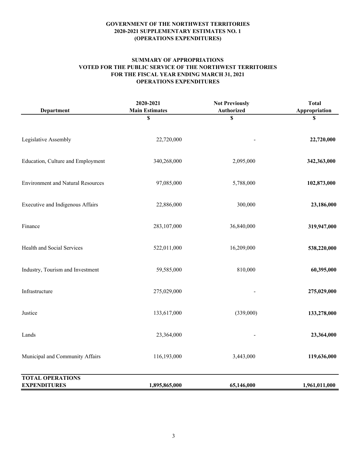# **SUMMARY OF APPROPRIATIONS VOTED FOR THE PUBLIC SERVICE OF THE NORTHWEST TERRITORIES FOR THE FISCAL YEAR ENDING MARCH 31, 2021 OPERATIONS EXPENDITURES**

| Department                                     | 2020-2021<br><b>Main Estimates</b> | <b>Not Previously</b><br>Authorized | <b>Total</b><br>Appropriation |
|------------------------------------------------|------------------------------------|-------------------------------------|-------------------------------|
|                                                | \$                                 | \$                                  | \$                            |
| Legislative Assembly                           | 22,720,000                         |                                     | 22,720,000                    |
| Education, Culture and Employment              | 340,268,000                        | 2,095,000                           | 342,363,000                   |
| <b>Environment and Natural Resources</b>       | 97,085,000                         | 5,788,000                           | 102,873,000                   |
| Executive and Indigenous Affairs               | 22,886,000                         | 300,000                             | 23,186,000                    |
| Finance                                        | 283,107,000                        | 36,840,000                          | 319,947,000                   |
| Health and Social Services                     | 522,011,000                        | 16,209,000                          | 538,220,000                   |
| Industry, Tourism and Investment               | 59,585,000                         | 810,000                             | 60,395,000                    |
| Infrastructure                                 | 275,029,000                        |                                     | 275,029,000                   |
| Justice                                        | 133,617,000                        | (339,000)                           | 133,278,000                   |
| Lands                                          | 23,364,000                         |                                     | 23,364,000                    |
| Municipal and Community Affairs                | 116,193,000                        | 3,443,000                           | 119,636,000                   |
| <b>TOTAL OPERATIONS</b><br><b>EXPENDITURES</b> | 1,895,865,000                      | 65,146,000                          | 1,961,011,000                 |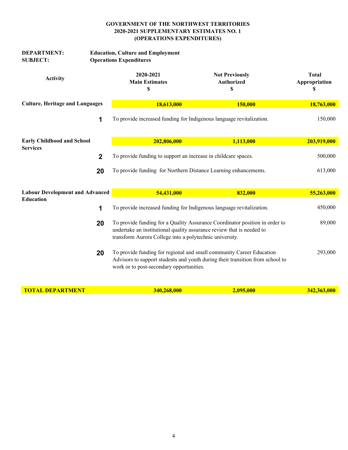| <b>DEPARTMENT:</b><br><b>SUBJECT:</b>  |                | <b>Education, Culture and Employment</b><br><b>Operations Expenditures</b>                                                       |                                                                                                                                                       |                                     |
|----------------------------------------|----------------|----------------------------------------------------------------------------------------------------------------------------------|-------------------------------------------------------------------------------------------------------------------------------------------------------|-------------------------------------|
| <b>Activity</b>                        |                | 2020-2021<br><b>Main Estimates</b><br>\$                                                                                         | <b>Not Previously</b><br><b>Authorized</b><br>\$                                                                                                      | <b>Total</b><br>Appropriation<br>\$ |
| <b>Culture, Heritage and Languages</b> |                | 18,613,000                                                                                                                       | 150,000                                                                                                                                               | 18,763,000                          |
|                                        | 1              | To provide increased funding for Indigenous language revitalization.                                                             |                                                                                                                                                       | 150,000                             |
| <b>Early Childhood and School</b>      |                | 202,806,000                                                                                                                      | 1,113,000                                                                                                                                             | 203,919,000                         |
| <b>Services</b>                        | $\overline{2}$ | To provide funding to support an increase in childcare spaces.                                                                   |                                                                                                                                                       | 500,000                             |
|                                        | 20             | To provide funding for Northern Distance Learning enhancements.                                                                  |                                                                                                                                                       | 613,000                             |
| <b>Labour Development and Advanced</b> |                | 54,431,000                                                                                                                       | 832,000                                                                                                                                               | 55,263,000                          |
| <b>Education</b>                       |                |                                                                                                                                  |                                                                                                                                                       |                                     |
|                                        | 1              | To provide increased funding for Indigenous language revitalization.                                                             |                                                                                                                                                       | 450,000                             |
|                                        | 20             | undertake an institutional quality assurance review that is needed to<br>transform Aurora College into a polytechnic university. | To provide funding for a Quality Assurance Coordinator position in order to                                                                           | 89,000                              |
|                                        | 20             | work or to post-secondary opportunities.                                                                                         | To provide funding for regional and small community Career Education<br>Advisors to support students and youth during their transition from school to | 293,000                             |
| <b>TOTAL DEPARTMENT</b>                |                | 340,268,000                                                                                                                      | 2,095,000                                                                                                                                             | 342,363,000                         |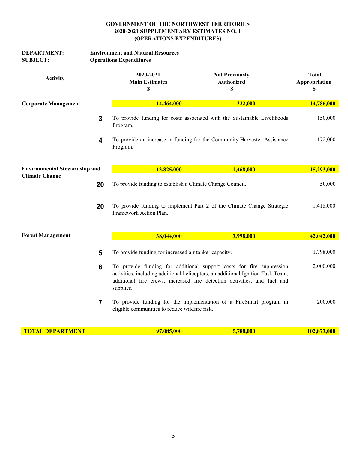| <b>DEPARTMENT:</b><br><b>SUBJECT:</b> |                | <b>Environment and Natural Resources</b><br><b>Operations Expenditures</b> |                                                                                                                                                                                                                                     |                                     |
|---------------------------------------|----------------|----------------------------------------------------------------------------|-------------------------------------------------------------------------------------------------------------------------------------------------------------------------------------------------------------------------------------|-------------------------------------|
| <b>Activity</b>                       |                | 2020-2021<br><b>Main Estimates</b><br>\$                                   | <b>Not Previously</b><br><b>Authorized</b><br>\$                                                                                                                                                                                    | <b>Total</b><br>Appropriation<br>\$ |
| <b>Corporate Management</b>           |                | 14,464,000                                                                 | 322,000                                                                                                                                                                                                                             | 14,786,000                          |
|                                       | 3              | Program.                                                                   | To provide funding for costs associated with the Sustainable Livelihoods                                                                                                                                                            | 150,000                             |
|                                       | 4              | Program.                                                                   | To provide an increase in funding for the Community Harvester Assistance                                                                                                                                                            | 172,000                             |
| <b>Environmental Stewardship and</b>  |                | 13,825,000                                                                 | 1,468,000                                                                                                                                                                                                                           | 15,293,000                          |
| <b>Climate Change</b>                 | 20             | To provide funding to establish a Climate Change Council.                  |                                                                                                                                                                                                                                     | 50,000                              |
|                                       | 20             | Framework Action Plan.                                                     | To provide funding to implement Part 2 of the Climate Change Strategic                                                                                                                                                              | 1,418,000                           |
| <b>Forest Management</b>              |                | 38,044,000                                                                 | 3,998,000                                                                                                                                                                                                                           | 42,042,000                          |
|                                       | 5              | To provide funding for increased air tanker capacity.                      |                                                                                                                                                                                                                                     | 1,798,000                           |
|                                       | 6              | supplies.                                                                  | To provide funding for additional support costs for fire suppression<br>activities, including additional helicopters, an additional Ignition Task Team,<br>additional fire crews, increased fire detection activities, and fuel and | 2,000,000                           |
|                                       | $\overline{7}$ | eligible communities to reduce wildfire risk.                              | To provide funding for the implementation of a FireSmart program in                                                                                                                                                                 | 200,000                             |
| <b>TOTAL DEPARTMENT</b>               |                | 97,085,000                                                                 | 5,788,000                                                                                                                                                                                                                           | 102,873,000                         |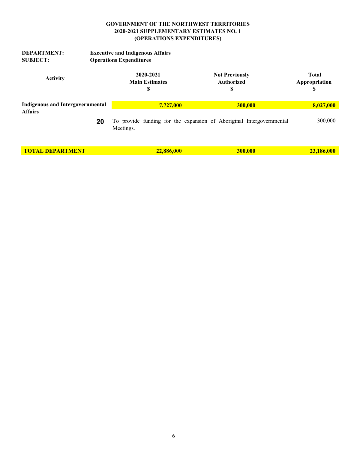| <b>DEPARTMENT:</b><br><b>SUBJECT:</b>                     |    | <b>Executive and Indigenous Affairs</b><br><b>Operations Expenditures</b> |                                                                      |                                    |
|-----------------------------------------------------------|----|---------------------------------------------------------------------------|----------------------------------------------------------------------|------------------------------------|
| <b>Activity</b>                                           |    | 2020-2021<br><b>Main Estimates</b><br>S                                   | <b>Not Previously</b><br><b>Authorized</b><br>S                      | <b>Total</b><br>Appropriation<br>S |
| <b>Indigenous and Intergovernmental</b><br><b>Affairs</b> |    | 7,727,000                                                                 | 300,000                                                              | 8,027,000                          |
|                                                           | 20 | Meetings.                                                                 | To provide funding for the expansion of Aboriginal Intergovernmental | 300,000                            |
| <b>TOTAL DEPARTMENT</b>                                   |    | 22,886,000                                                                | 300,000                                                              | 23,186,000                         |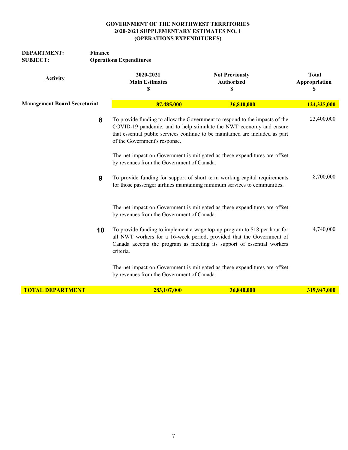| <b>DEPARTMENT:</b>                  | <b>Finance</b> |                                            |                                                                                                                                                                                                                                     |                                    |
|-------------------------------------|----------------|--------------------------------------------|-------------------------------------------------------------------------------------------------------------------------------------------------------------------------------------------------------------------------------------|------------------------------------|
| <b>SUBJECT:</b>                     |                | <b>Operations Expenditures</b>             |                                                                                                                                                                                                                                     |                                    |
| <b>Activity</b>                     |                | 2020-2021<br><b>Main Estimates</b><br>\$   | <b>Not Previously</b><br><b>Authorized</b><br>\$                                                                                                                                                                                    | <b>Total</b><br>Appropriation<br>S |
| <b>Management Board Secretariat</b> |                | 87,485,000                                 | 36,840,000                                                                                                                                                                                                                          | 124,325,000                        |
|                                     | 8              | of the Government's response.              | To provide funding to allow the Government to respond to the impacts of the<br>COVID-19 pandemic, and to help stimulate the NWT economy and ensure<br>that essential public services continue to be maintained are included as part | 23,400,000                         |
|                                     |                | by revenues from the Government of Canada. | The net impact on Government is mitigated as these expenditures are offset                                                                                                                                                          |                                    |
|                                     | 9              |                                            | To provide funding for support of short term working capital requirements<br>for those passenger airlines maintaining minimum services to communities.                                                                              | 8,700,000                          |
|                                     |                | by revenues from the Government of Canada. | The net impact on Government is mitigated as these expenditures are offset                                                                                                                                                          |                                    |
|                                     | 10             | criteria.                                  | To provide funding to implement a wage top-up program to \$18 per hour for<br>all NWT workers for a 16-week period, provided that the Government of<br>Canada accepts the program as meeting its support of essential workers       | 4,740,000                          |
|                                     |                | by revenues from the Government of Canada. | The net impact on Government is mitigated as these expenditures are offset                                                                                                                                                          |                                    |
| <b>TOTAL DEPARTMENT</b>             |                | 283,107,000                                | 36,840,000                                                                                                                                                                                                                          | 319,947,000                        |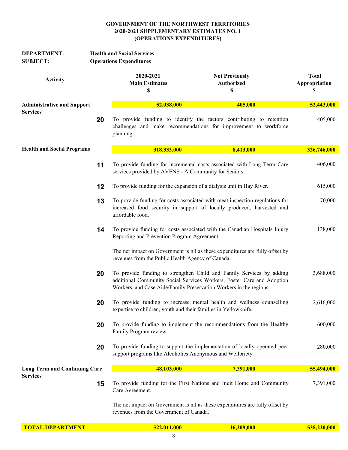| <b>DEPARTMENT:</b><br><b>SUBJECT:</b> |    | <b>Health and Social Services</b><br><b>Operations Expenditures</b>   |                                                                                                                                                       |                                     |
|---------------------------------------|----|-----------------------------------------------------------------------|-------------------------------------------------------------------------------------------------------------------------------------------------------|-------------------------------------|
| <b>Activity</b>                       |    | 2020-2021<br><b>Main Estimates</b><br>\$                              | <b>Not Previously</b><br><b>Authorized</b><br>\$                                                                                                      | <b>Total</b><br>Appropriation<br>\$ |
| <b>Administrative and Support</b>     |    | 52,038,000                                                            | 405,000                                                                                                                                               | 52,443,000                          |
| <b>Services</b>                       | 20 | planning.                                                             | To provide funding to identify the factors contributing to retention<br>challenges and make recommendations for improvement to workforce              | 405,000                             |
| <b>Health and Social Programs</b>     |    | 318,333,000                                                           | 8,413,000                                                                                                                                             | 326,746,000                         |
|                                       | 11 | services provided by AVENS - A Community for Seniors.                 | To provide funding for incremental costs associated with Long Term Care                                                                               | 406,000                             |
|                                       | 12 | To provide funding for the expansion of a dialysis unit in Hay River. |                                                                                                                                                       | 615,000                             |
|                                       | 13 | affordable food.                                                      | To provide funding for costs associated with meat inspection regulations for<br>increased food security in support of locally produced, harvested and | 70,000                              |
|                                       | 14 | Reporting and Prevention Program Agreement.                           | To provide funding for costs associated with the Canadian Hospitals Injury                                                                            | 138,000                             |
|                                       |    | revenues from the Public Health Agency of Canada.                     | The net impact on Government is nil as these expenditures are fully offset by                                                                         |                                     |
|                                       | 20 | Workers, and Case Aide/Family Preservation Workers in the regions.    | To provide funding to strengthen Child and Family Services by adding<br>additional Community Social Services Workers, Foster Care and Adoption        | 3,688,000                           |
|                                       | 20 | expertise to children, youth and their families in Yellowknife.       | To provide funding to increase mental health and wellness counselling                                                                                 | 2,616,000                           |
|                                       | 20 | Family Program review.                                                | To provide funding to implement the recommendations from the Healthy                                                                                  | 600,000                             |
|                                       | 20 | support programs like Alcoholics Anonymous and Wellbriety.            | To provide funding to support the implementation of locally operated peer                                                                             | 280,000                             |
| <b>Long Term and Continuing Care</b>  |    | 48,103,000                                                            | 7,391,000                                                                                                                                             | 55,494,000                          |
| <b>Services</b>                       | 15 | Care Agreement.                                                       | To provide funding for the First Nations and Inuit Home and Community                                                                                 | 7,391,000                           |
|                                       |    | revenues from the Government of Canada.                               | The net impact on Government is nil as these expenditures are fully offset by                                                                         |                                     |

8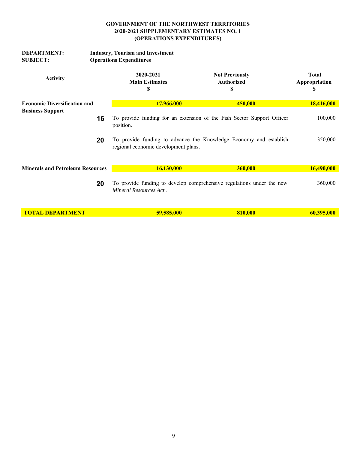| <b>DEPARTMENT:</b><br><b>SUBJECT:</b>   |    | <b>Industry, Tourism and Investment</b><br><b>Operations Expenditures</b> |                                                                        |                                    |
|-----------------------------------------|----|---------------------------------------------------------------------------|------------------------------------------------------------------------|------------------------------------|
| <b>Activity</b>                         |    | 2020-2021<br><b>Main Estimates</b><br>\$                                  | <b>Not Previously</b><br><b>Authorized</b><br>S                        | <b>Total</b><br>Appropriation<br>S |
| <b>Economic Diversification and</b>     |    | 17,966,000                                                                | 450,000                                                                | 18,416,000                         |
| <b>Business Support</b>                 | 16 | position.                                                                 | To provide funding for an extension of the Fish Sector Support Officer | 100,000                            |
|                                         | 20 | regional economic development plans.                                      | To provide funding to advance the Knowledge Economy and establish      | 350,000                            |
| <b>Minerals and Petroleum Resources</b> |    | 16,130,000                                                                | 360,000                                                                | 16,490,000                         |
|                                         | 20 | Mineral Resources Act.                                                    | To provide funding to develop comprehensive regulations under the new  | 360,000                            |
| <b>TOTAL DEPARTMENT</b>                 |    | 59,585,000                                                                | 810,000                                                                | 60,395,000                         |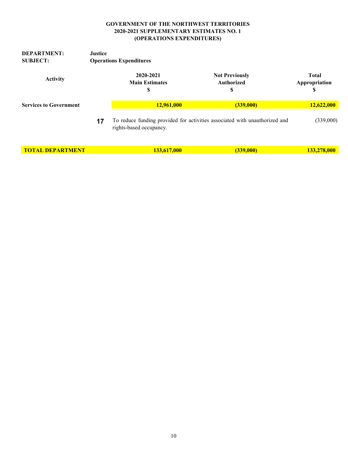| <b>DEPARTMENT:</b><br><b>SUBJECT:</b> | <b>Justice</b> | <b>Operations Expenditures</b>           |                                                                            |                                    |
|---------------------------------------|----------------|------------------------------------------|----------------------------------------------------------------------------|------------------------------------|
| <b>Activity</b>                       |                | 2020-2021<br><b>Main Estimates</b><br>\$ | <b>Not Previously</b><br><b>Authorized</b><br>S                            | <b>Total</b><br>Appropriation<br>S |
| <b>Services to Government</b>         |                | 12,961,000                               | (339,000)                                                                  | 12,622,000                         |
|                                       | 17             | rights-based occupancy.                  | To reduce funding provided for activities associated with unauthorized and | (339,000)                          |
| <b>TOTAL DEPARTMENT</b>               |                | 133,617,000                              | (339,000)                                                                  | 133,278,000                        |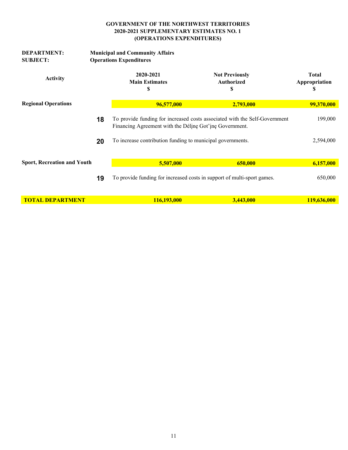| <b>DEPARTMENT:</b><br><b>SUBJECT:</b> |    | <b>Municipal and Community Affairs</b><br><b>Operations Expenditures</b> |                                                                            |                                    |
|---------------------------------------|----|--------------------------------------------------------------------------|----------------------------------------------------------------------------|------------------------------------|
| <b>Activity</b>                       |    | 2020-2021<br><b>Main Estimates</b><br>\$                                 | <b>Not Previously</b><br><b>Authorized</b><br>\$                           | <b>Total</b><br>Appropriation<br>S |
| <b>Regional Operations</b>            |    | 96,577,000                                                               | 2,793,000                                                                  | 99,370,000                         |
|                                       | 18 | Financing Agreement with the Déline Got'ine Government.                  | To provide funding for increased costs associated with the Self-Government | 199,000                            |
|                                       | 20 | To increase contribution funding to municipal governments.               |                                                                            | 2,594,000                          |
| Sport, Recreation and Youth           |    | 5,507,000                                                                | 650,000                                                                    | 6,157,000                          |
|                                       | 19 |                                                                          | To provide funding for increased costs in support of multi-sport games.    | 650,000                            |
| <b>TOTAL DEPARTMENT</b>               |    | 116,193,000                                                              | 3,443,000                                                                  | 119,636,000                        |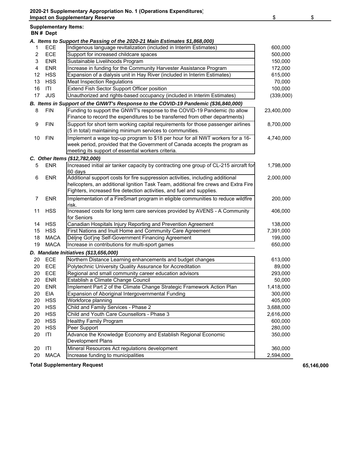#### **Supplementary Items: BN # Dept**

#### *A. Items to Support the Passing of the 2020-21 Main Estimates \$1,868,000)*

| 1  | ECE         | Indigenous language revitalization (included in Interim Estimates)                    | 600,000    |
|----|-------------|---------------------------------------------------------------------------------------|------------|
| 2  | ECE         | Support for increased childcare spaces                                                | 500,000    |
| 3  | <b>ENR</b>  | Sustainable Livelihoods Program                                                       | 150,000    |
| 4  | <b>ENR</b>  | Increase in funding for the Community Harvester Assistance Program                    | 172,000    |
| 12 | <b>HSS</b>  | Expansion of a dialysis unit in Hay River (included in Interim Estimates)             | 615,000    |
| 13 | <b>HSS</b>  | <b>Meat Inspection Regulations</b>                                                    | 70,000     |
| 16 | ITI         | Extend Fish Sector Support Officer position                                           | 100,000    |
| 17 | <b>JUS</b>  | Unauthorized and rights-based occupancy (included in Interim Estimates)               | (339,000)  |
|    |             | B. Items in Support of the GNWT's Response to the COVID-19 Pandemic (\$36,840,000)    |            |
| 8  | <b>FIN</b>  | Funding to support the GNWT's response to the COVID-19 Pandemic (to allow             | 23,400,000 |
|    |             | Finance to record the expenditures to be transferred from other departments)          |            |
| 9  | <b>FIN</b>  | Support for short term working capital requirements for those passenger airlines      | 8,700,000  |
|    |             | (5 in total) maintaining minimum services to communities.                             |            |
| 10 | <b>FIN</b>  | Implement a wage top-up program to \$18 per hour for all NWT workers for a 16-        | 4,740,000  |
|    |             | week period, provided that the Government of Canada accepts the program as            |            |
|    |             | meeting its support of essential workers criteria.                                    |            |
|    |             | C. Other Items (\$12,782,000)                                                         |            |
| 5  | <b>ENR</b>  | Increased initial air tanker capacity by contracting one group of CL-215 aircraft for | 1,798,000  |
|    |             | 60 days                                                                               |            |
| 6  | <b>ENR</b>  | Additional support costs for fire suppression activities, including additional        | 2,000,000  |
|    |             | helicopters, an additional Ignition Task Team, additional fire crews and Extra Fire   |            |
|    |             | Fighters, increased fire detection activities, and fuel and supplies.                 |            |
| 7  | <b>ENR</b>  | Implementation of a FireSmart program in eligible communities to reduce wildfire      | 200,000    |
|    |             | risk.                                                                                 |            |
| 11 | <b>HSS</b>  | Increased costs for long term care services provided by AVENS - A Community           | 406,000    |
|    |             | for Seniors                                                                           |            |
| 14 | <b>HSS</b>  | Canadian Hospitals Injury Reporting and Prevention Agreement                          | 138,000    |
| 15 | <b>HSS</b>  | First Nations and Inuit Home and Community Care Agreement                             | 7,391,000  |
| 18 | <b>MACA</b> | Déline Got'ine Self-Government Financing Agreement                                    | 199,000    |
| 19 | <b>MACA</b> | Increase in contributions for multi-sport games                                       | 650,000    |
|    |             | D. Mandate Initiatives (\$13,656,000)                                                 |            |
| 20 | ECE         | Northern Distance Learning enhancements and budget changes                            | 613,000    |
| 20 | ECE         | Polytechnic University Quality Assurance for Accreditation                            | 89,000     |
| 20 | ECE         | Regional and small community career education advisors                                | 293,000    |
| 20 | <b>ENR</b>  | Establish a Climate Change Council                                                    | 50,000     |
| 20 | <b>ENR</b>  | Implement Part 2 of the Climate Change Strategic Framework Action Plan                | 1,418,000  |
| 20 | EIA         | Expansion of Aboriginal Intergovernmental Funding                                     | 300,000    |
| 20 | HSS         | Workforce planning                                                                    | 405,000    |
| 20 | <b>HSS</b>  | Child and Family Services - Phase 2                                                   | 3,688,000  |
| 20 | <b>HSS</b>  | Child and Youth Care Counsellors - Phase 3                                            | 2,616,000  |
| 20 | <b>HSS</b>  | <b>Healthy Family Program</b>                                                         | 600,000    |
| 20 | <b>HSS</b>  | Peer Support                                                                          | 280,000    |
| 20 | ITI         | Advance the Knowledge Economy and Establish Regional Economic                         | 350,000    |
|    |             | Development Plans                                                                     |            |
| 20 | ITI         | Mineral Resources Act regulations development                                         | 360,000    |
| 20 | <b>MACA</b> | Increase funding to municipalities                                                    | 2,594,000  |
|    |             |                                                                                       |            |

**Total Supplementary Request 65,146,000** 65,146,000